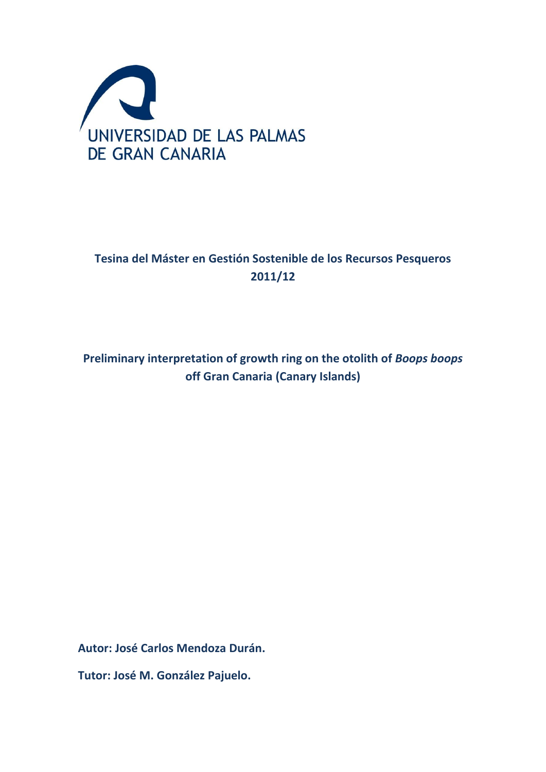

# **Tesina del Máster en Gestión Sostenible de los Recursos Pesqueros 2011/12**

**Preliminary interpretation of growth ring on the otolith of** *Boops boops*  **off Gran Canaria (Canary Islands)**

**Autor: José Carlos Mendoza Durán.**

**Tutor: José M. González Pajuelo.**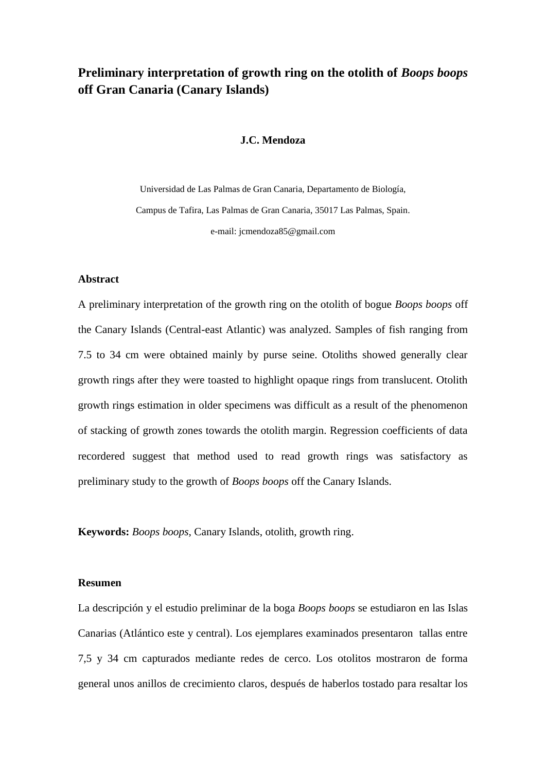### **Preliminary interpretation of growth ring on the otolith of** *Boops boops*  **off Gran Canaria (Canary Islands)**

#### **J.C. Mendoza**

Universidad de Las Palmas de Gran Canaria, Departamento de Biología, Campus de Tafira, Las Palmas de Gran Canaria, 35017 Las Palmas, Spain. e-mail: jcmendoza85@gmail.com

#### **Abstract**

A preliminary interpretation of the growth ring on the otolith of bogue *Boops boops* off the Canary Islands (Central-east Atlantic) was analyzed. Samples of fish ranging from 7.5 to 34 cm were obtained mainly by purse seine. Otoliths showed generally clear growth rings after they were toasted to highlight opaque rings from translucent. Otolith growth rings estimation in older specimens was difficult as a result of the phenomenon of stacking of growth zones towards the otolith margin. Regression coefficients of data recordered suggest that method used to read growth rings was satisfactory as preliminary study to the growth of *Boops boops* off the Canary Islands.

**Keywords:** *Boops boops,* Canary Islands, otolith, growth ring.

#### **Resumen**

La descripción y el estudio preliminar de la boga *Boops boops* se estudiaron en las Islas Canarias (Atlántico este y central). Los ejemplares examinados presentaron tallas entre 7,5 y 34 cm capturados mediante redes de cerco. Los otolitos mostraron de forma general unos anillos de crecimiento claros, después de haberlos tostado para resaltar los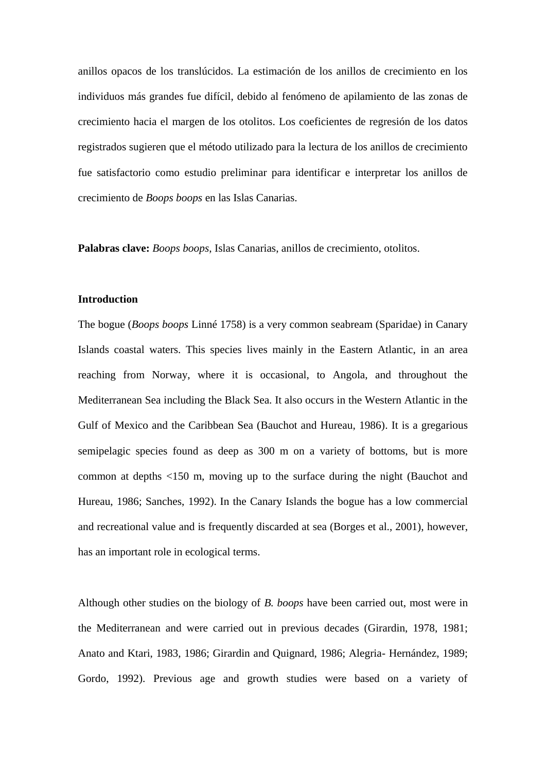anillos opacos de los translúcidos. La estimación de los anillos de crecimiento en los individuos más grandes fue difícil, debido al fenómeno de apilamiento de las zonas de crecimiento hacia el margen de los otolitos. Los coeficientes de regresión de los datos registrados sugieren que el método utilizado para la lectura de los anillos de crecimiento fue satisfactorio como estudio preliminar para identificar e interpretar los anillos de crecimiento de *Boops boops* en las Islas Canarias.

**Palabras clave:** *Boops boops*, Islas Canarias, anillos de crecimiento, otolitos.

#### **Introduction**

The bogue (*Boops boops* Linné 1758) is a very common seabream (Sparidae) in Canary Islands coastal waters. This species lives mainly in the Eastern Atlantic, in an area reaching from Norway, where it is occasional, to Angola, and throughout the Mediterranean Sea including the Black Sea. It also occurs in the Western Atlantic in the Gulf of Mexico and the Caribbean Sea (Bauchot and Hureau, 1986). It is a gregarious semipelagic species found as deep as 300 m on a variety of bottoms, but is more common at depths <150 m, moving up to the surface during the night (Bauchot and Hureau, 1986; Sanches, 1992). In the Canary Islands the bogue has a low commercial and recreational value and is frequently discarded at sea (Borges et al., 2001), however, has an important role in ecological terms.

Although other studies on the biology of *B. boops* have been carried out, most were in the Mediterranean and were carried out in previous decades (Girardin, 1978, 1981; Anato and Ktari, 1983, 1986; Girardin and Quignard, 1986; Alegria- Hernández, 1989; Gordo, 1992). Previous age and growth studies were based on a variety of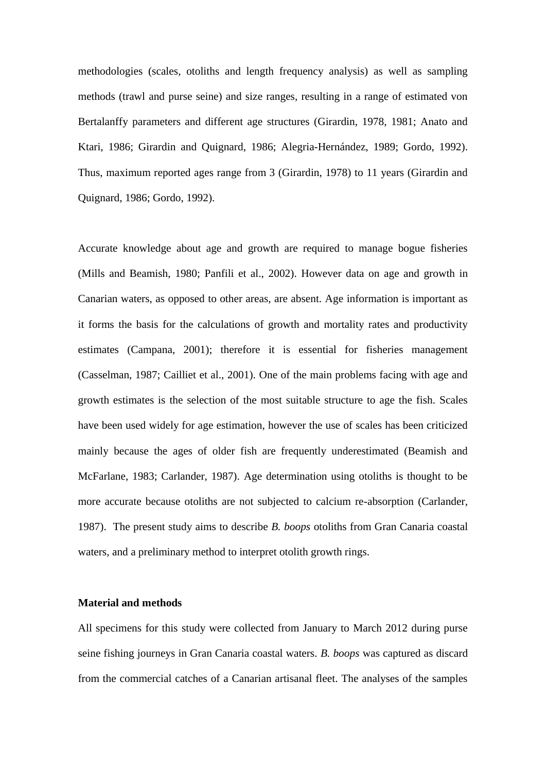methodologies (scales, otoliths and length frequency analysis) as well as sampling methods (trawl and purse seine) and size ranges, resulting in a range of estimated von Bertalanffy parameters and different age structures (Girardin, 1978, 1981; Anato and Ktari, 1986; Girardin and Quignard, 1986; Alegria-Hernández, 1989; Gordo, 1992). Thus, maximum reported ages range from 3 (Girardin, 1978) to 11 years (Girardin and Quignard, 1986; Gordo, 1992).

Accurate knowledge about age and growth are required to manage bogue fisheries (Mills and Beamish, 1980; Panfili et al., 2002). However data on age and growth in Canarian waters, as opposed to other areas, are absent. Age information is important as it forms the basis for the calculations of growth and mortality rates and productivity estimates (Campana, 2001); therefore it is essential for fisheries management (Casselman, 1987; Cailliet et al., 2001). One of the main problems facing with age and growth estimates is the selection of the most suitable structure to age the fish. Scales have been used widely for age estimation, however the use of scales has been criticized mainly because the ages of older fish are frequently underestimated (Beamish and McFarlane, 1983; Carlander, 1987). Age determination using otoliths is thought to be more accurate because otoliths are not subjected to calcium re-absorption (Carlander, 1987). The present study aims to describe *B. boops* otoliths from Gran Canaria coastal waters, and a preliminary method to interpret otolith growth rings.

#### **Material and methods**

All specimens for this study were collected from January to March 2012 during purse seine fishing journeys in Gran Canaria coastal waters. *B. boops* was captured as discard from the commercial catches of a Canarian artisanal fleet. The analyses of the samples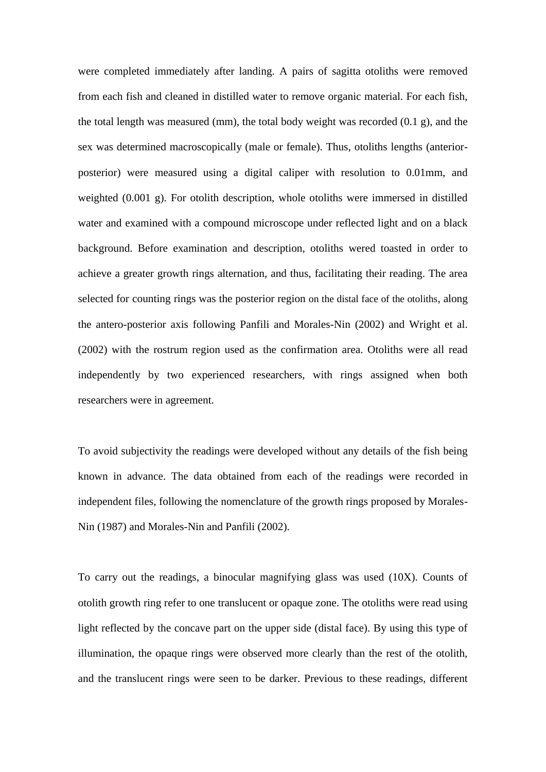were completed immediately after landing. A pairs of sagitta otoliths were removed from each fish and cleaned in distilled water to remove organic material. For each fish, the total length was measured (mm), the total body weight was recorded (0.1 g), and the sex was determined macroscopically (male or female). Thus, otoliths lengths (anteriorposterior) were measured using a digital caliper with resolution to 0.01mm, and weighted (0.001 g). For otolith description, whole otoliths were immersed in distilled water and examined with a compound microscope under reflected light and on a black background. Before examination and description, otoliths wered toasted in order to achieve a greater growth rings alternation, and thus, facilitating their reading. The area selected for counting rings was the posterior region on the distal face of the otoliths, along the antero-posterior axis following Panfili and Morales-Nin (2002) and Wright et al. (2002) with the rostrum region used as the confirmation area. Otoliths were all read independently by two experienced researchers, with rings assigned when both researchers were in agreement.

To avoid subjectivity the readings were developed without any details of the fish being known in advance. The data obtained from each of the readings were recorded in independent files, following the nomenclature of the growth rings proposed by Morales-Nin (1987) and Morales-Nin and Panfili (2002).

To carry out the readings, a binocular magnifying glass was used (10X). Counts of otolith growth ring refer to one translucent or opaque zone. The otoliths were read using light reflected by the concave part on the upper side (distal face). By using this type of illumination, the opaque rings were observed more clearly than the rest of the otolith, and the translucent rings were seen to be darker. Previous to these readings, different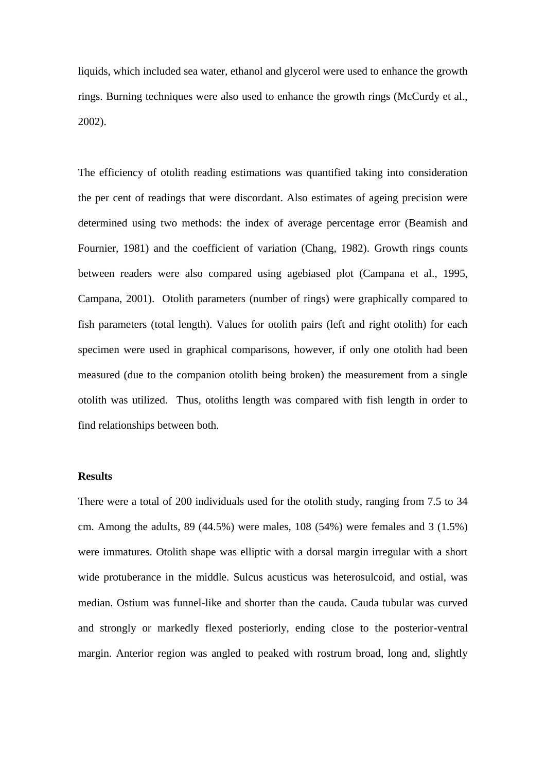liquids, which included sea water, ethanol and glycerol were used to enhance the growth rings. Burning techniques were also used to enhance the growth rings (McCurdy et al., 2002).

The efficiency of otolith reading estimations was quantified taking into consideration the per cent of readings that were discordant. Also estimates of ageing precision were determined using two methods: the index of average percentage error (Beamish and Fournier, 1981) and the coefficient of variation (Chang, 1982). Growth rings counts between readers were also compared using agebiased plot (Campana et al., 1995, Campana, 2001). Otolith parameters (number of rings) were graphically compared to fish parameters (total length). Values for otolith pairs (left and right otolith) for each specimen were used in graphical comparisons, however, if only one otolith had been measured (due to the companion otolith being broken) the measurement from a single otolith was utilized. Thus, otoliths length was compared with fish length in order to find relationships between both.

#### **Results**

There were a total of 200 individuals used for the otolith study, ranging from 7.5 to 34 cm. Among the adults, 89 (44.5%) were males, 108 (54%) were females and 3 (1.5%) were immatures. Otolith shape was elliptic with a dorsal margin irregular with a short wide protuberance in the middle. Sulcus acusticus was heterosulcoid, and ostial, was median. Ostium was funnel-like and shorter than the cauda. Cauda tubular was curved and strongly or markedly flexed posteriorly, ending close to the posterior-ventral margin. Anterior region was angled to peaked with rostrum broad, long and, slightly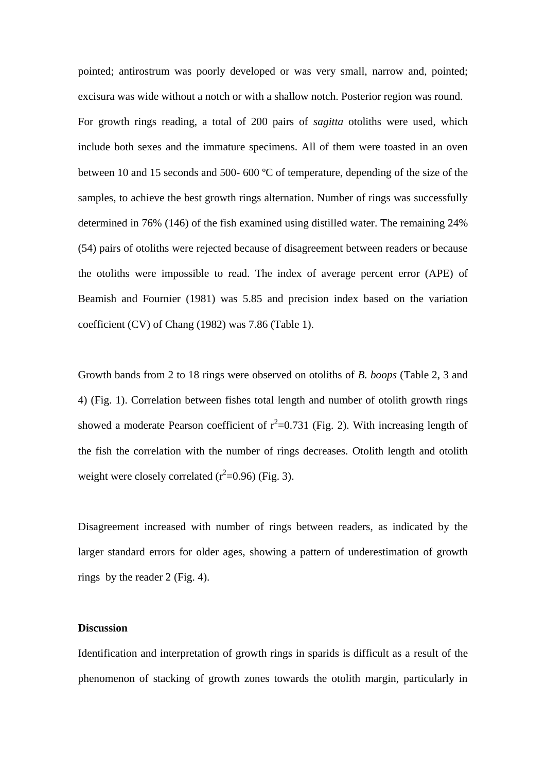pointed; antirostrum was poorly developed or was very small, narrow and, pointed; excisura was wide without a notch or with a shallow notch. Posterior region was round. For growth rings reading, a total of 200 pairs of *sagitta* otoliths were used, which include both sexes and the immature specimens. All of them were toasted in an oven between 10 and 15 seconds and 500- 600 ºC of temperature, depending of the size of the samples, to achieve the best growth rings alternation. Number of rings was successfully determined in 76% (146) of the fish examined using distilled water. The remaining 24% (54) pairs of otoliths were rejected because of disagreement between readers or because the otoliths were impossible to read. The index of average percent error (APE) of Beamish and Fournier (1981) was 5.85 and precision index based on the variation coefficient (CV) of Chang (1982) was 7.86 (Table 1).

Growth bands from 2 to 18 rings were observed on otoliths of *B. boops* (Table 2, 3 and 4) (Fig. 1). Correlation between fishes total length and number of otolith growth rings showed a moderate Pearson coefficient of  $r^2=0.731$  (Fig. 2). With increasing length of the fish the correlation with the number of rings decreases. Otolith length and otolith weight were closely correlated  $(r^2=0.96)$  (Fig. 3).

Disagreement increased with number of rings between readers, as indicated by the larger standard errors for older ages, showing a pattern of underestimation of growth rings by the reader 2 (Fig. 4).

#### **Discussion**

Identification and interpretation of growth rings in sparids is difficult as a result of the phenomenon of stacking of growth zones towards the otolith margin, particularly in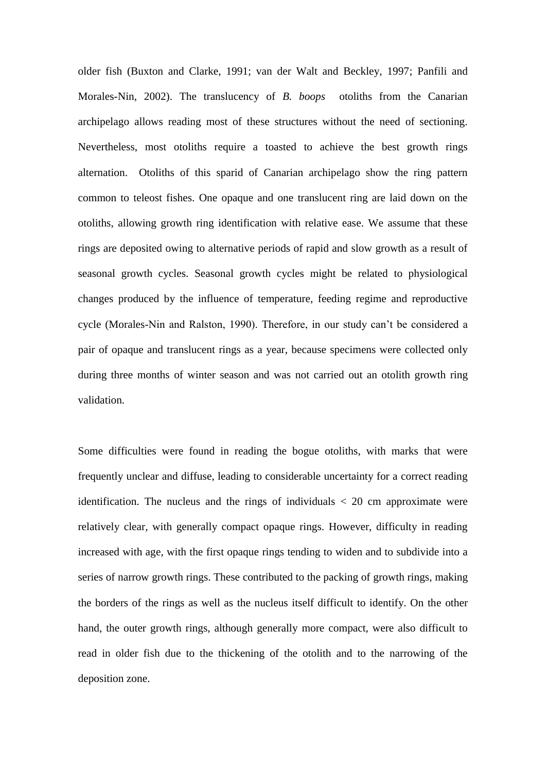older fish (Buxton and Clarke, 1991; van der Walt and Beckley, 1997; Panfili and Morales-Nin, 2002). The translucency of *B. boops* otoliths from the Canarian archipelago allows reading most of these structures without the need of sectioning. Nevertheless, most otoliths require a toasted to achieve the best growth rings alternation. Otoliths of this sparid of Canarian archipelago show the ring pattern common to teleost fishes. One opaque and one translucent ring are laid down on the otoliths, allowing growth ring identification with relative ease. We assume that these rings are deposited owing to alternative periods of rapid and slow growth as a result of seasonal growth cycles. Seasonal growth cycles might be related to physiological changes produced by the influence of temperature, feeding regime and reproductive cycle (Morales-Nin and Ralston, 1990). Therefore, in our study can't be considered a pair of opaque and translucent rings as a year, because specimens were collected only during three months of winter season and was not carried out an otolith growth ring validation.

Some difficulties were found in reading the bogue otoliths, with marks that were frequently unclear and diffuse, leading to considerable uncertainty for a correct reading identification. The nucleus and the rings of individuals  $\langle 20 \text{ cm}$  approximate were relatively clear, with generally compact opaque rings. However, difficulty in reading increased with age, with the first opaque rings tending to widen and to subdivide into a series of narrow growth rings. These contributed to the packing of growth rings, making the borders of the rings as well as the nucleus itself difficult to identify. On the other hand, the outer growth rings, although generally more compact, were also difficult to read in older fish due to the thickening of the otolith and to the narrowing of the deposition zone.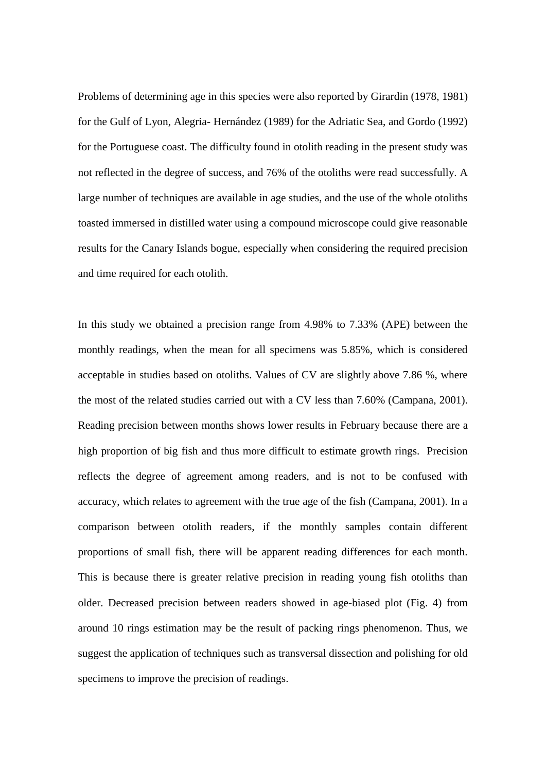Problems of determining age in this species were also reported by Girardin (1978, 1981) for the Gulf of Lyon, Alegria- Hernández (1989) for the Adriatic Sea, and Gordo (1992) for the Portuguese coast. The difficulty found in otolith reading in the present study was not reflected in the degree of success, and 76% of the otoliths were read successfully. A large number of techniques are available in age studies, and the use of the whole otoliths toasted immersed in distilled water using a compound microscope could give reasonable results for the Canary Islands bogue, especially when considering the required precision and time required for each otolith.

In this study we obtained a precision range from 4.98% to 7.33% (APE) between the monthly readings, when the mean for all specimens was 5.85%, which is considered acceptable in studies based on otoliths. Values of CV are slightly above 7.86 %, where the most of the related studies carried out with a CV less than 7.60% (Campana, 2001). Reading precision between months shows lower results in February because there are a high proportion of big fish and thus more difficult to estimate growth rings. Precision reflects the degree of agreement among readers, and is not to be confused with accuracy, which relates to agreement with the true age of the fish (Campana, 2001). In a comparison between otolith readers, if the monthly samples contain different proportions of small fish, there will be apparent reading differences for each month. This is because there is greater relative precision in reading young fish otoliths than older. Decreased precision between readers showed in age-biased plot (Fig. 4) from around 10 rings estimation may be the result of packing rings phenomenon. Thus, we suggest the application of techniques such as transversal dissection and polishing for old specimens to improve the precision of readings.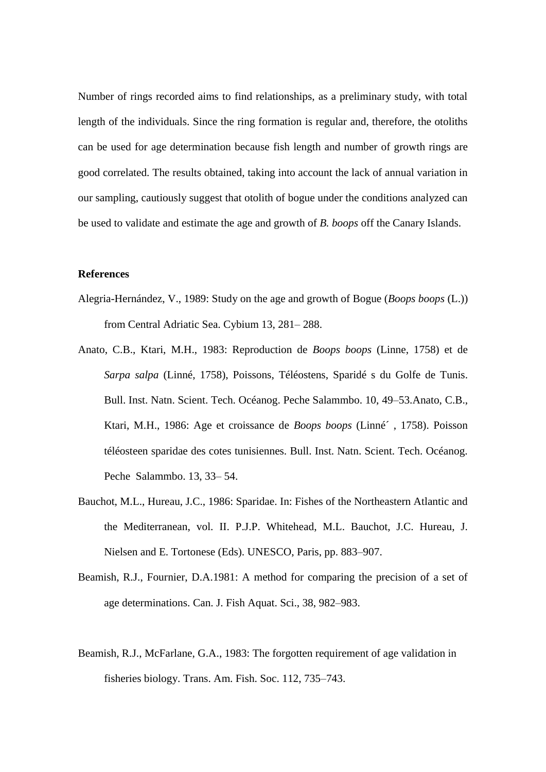Number of rings recorded aims to find relationships, as a preliminary study, with total length of the individuals. Since the ring formation is regular and, therefore, the otoliths can be used for age determination because fish length and number of growth rings are good correlated. The results obtained, taking into account the lack of annual variation in our sampling, cautiously suggest that otolith of bogue under the conditions analyzed can be used to validate and estimate the age and growth of *B. boops* off the Canary Islands.

#### **References**

- Alegria-Hernández, V., 1989: Study on the age and growth of Bogue (*Boops boops* (L.)) from Central Adriatic Sea. Cybium 13, 281– 288.
- Anato, C.B., Ktari, M.H., 1983: Reproduction de *Boops boops* (Linne, 1758) et de *Sarpa salpa* (Linné, 1758), Poissons, Téléostens, Sparidé s du Golfe de Tunis. Bull. Inst. Natn. Scient. Tech. Océanog. Peche Salammbo. 10, 49–53.Anato, C.B., Ktari, M.H., 1986: Age et croissance de *Boops boops* (Linné´ , 1758). Poisson téléosteen sparidae des cotes tunisiennes. Bull. Inst. Natn. Scient. Tech. Océanog. Peche Salammbo. 13, 33– 54.
- Bauchot, M.L., Hureau, J.C., 1986: Sparidae. In: Fishes of the Northeastern Atlantic and the Mediterranean, vol. II. P.J.P. Whitehead, M.L. Bauchot, J.C. Hureau, J. Nielsen and E. Tortonese (Eds). UNESCO, Paris, pp. 883–907.
- Beamish, R.J., Fournier, D.A.1981: A method for comparing the precision of a set of age determinations. Can. J. Fish Aquat. Sci., 38, 982–983.
- Beamish, R.J., McFarlane, G.A., 1983: The forgotten requirement of age validation in fisheries biology. Trans. Am. Fish. Soc. 112, 735–743.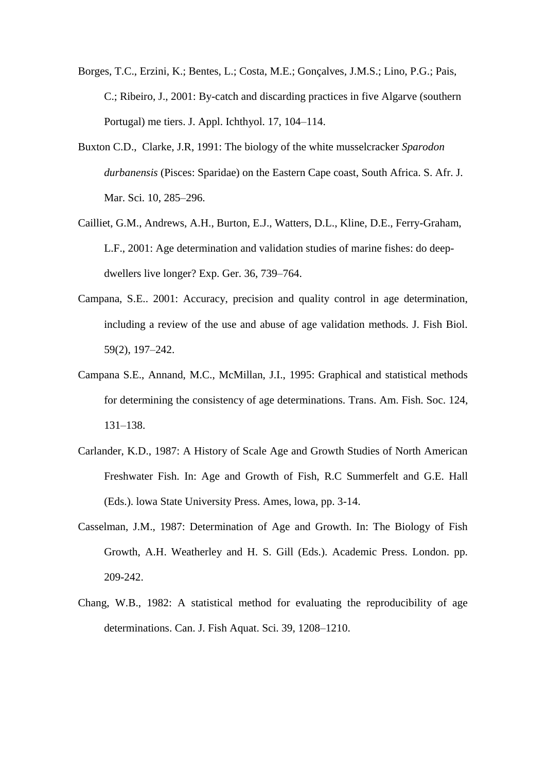- Borges, T.C., Erzini, K.; Bentes, L.; Costa, M.E.; Gonçalves, J.M.S.; Lino, P.G.; Pais, C.; Ribeiro, J., 2001: By-catch and discarding practices in five Algarve (southern Portugal) me tiers. J. Appl. Ichthyol. 17, 104–114.
- Buxton C.D., Clarke, J.R, 1991: The biology of the white musselcracker *Sparodon durbanensis* (Pisces: Sparidae) on the Eastern Cape coast, South Africa. S. Afr. J. Mar. Sci. 10, 285–296.
- Cailliet, G.M., Andrews, A.H., Burton, E.J., Watters, D.L., Kline, D.E., Ferry-Graham, L.F., 2001: Age determination and validation studies of marine fishes: do deepdwellers live longer? Exp. Ger. 36, 739–764.
- Campana, S.E.. 2001: Accuracy, precision and quality control in age determination, including a review of the use and abuse of age validation methods. J. Fish Biol. 59(2), 197–242.
- Campana S.E., Annand, M.C., McMillan, J.I., 1995: Graphical and statistical methods for determining the consistency of age determinations. Trans. Am. Fish. Soc. 124, 131–138.
- Carlander, K.D., 1987: A History of Scale Age and Growth Studies of North American Freshwater Fish. In: Age and Growth of Fish, R.C Summerfelt and G.E. Hall (Eds.). lowa State University Press. Ames, lowa, pp. 3-14.
- Casselman, J.M., 1987: Determination of Age and Growth. In: The Biology of Fish Growth, A.H. Weatherley and H. S. Gill (Eds.). Academic Press. London. pp. 209-242.
- Chang, W.B., 1982: A statistical method for evaluating the reproducibility of age determinations. Can. J. Fish Aquat. Sci. 39, 1208–1210.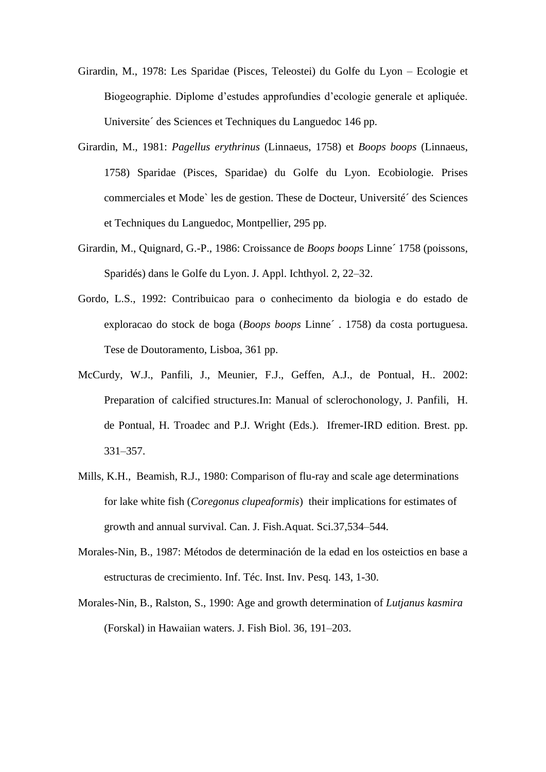- Girardin, M., 1978: Les Sparidae (Pisces, Teleostei) du Golfe du Lyon Ecologie et Biogeographie. Diplome d'estudes approfundies d'ecologie generale et apliquée. Universite´ des Sciences et Techniques du Languedoc 146 pp.
- Girardin, M., 1981: *Pagellus erythrinus* (Linnaeus, 1758) et *Boops boops* (Linnaeus, 1758) Sparidae (Pisces, Sparidae) du Golfe du Lyon. Ecobiologie. Prises commerciales et Mode` les de gestion. These de Docteur, Université´ des Sciences et Techniques du Languedoc, Montpellier, 295 pp.
- Girardin, M., Quignard, G.-P., 1986: Croissance de *Boops boops* Linne´ 1758 (poissons, Sparidés) dans le Golfe du Lyon. J. Appl. Ichthyol. 2, 22–32.
- Gordo, L.S., 1992: Contribuicao para o conhecimento da biologia e do estado de exploracao do stock de boga (*Boops boops* Linne´ . 1758) da costa portuguesa. Tese de Doutoramento, Lisboa, 361 pp.
- McCurdy, W.J., Panfili, J., Meunier, F.J., Geffen, A.J., de Pontual, H.. 2002: Preparation of calcified structures.In: Manual of sclerochonology, J. Panfili, H. de Pontual, H. Troadec and P.J. Wright (Eds.). Ifremer-IRD edition. Brest. pp. 331–357.
- Mills, K.H., Beamish, R.J., 1980: Comparison of flu-ray and scale age determinations for lake white fish (*Coregonus clupeaformis*) their implications for estimates of growth and annual survival. Can. J. Fish.Aquat. Sci.37,534–544.
- Morales-Nin, B., 1987: Métodos de determinación de la edad en los osteictios en base a estructuras de crecimiento. Inf. Téc. Inst. Inv. Pesq*.* 143, 1-30.
- Morales-Nin, B., Ralston, S., 1990: Age and growth determination of *Lutjanus kasmira* (Forskal) in Hawaiian waters. J. Fish Biol. 36, 191–203.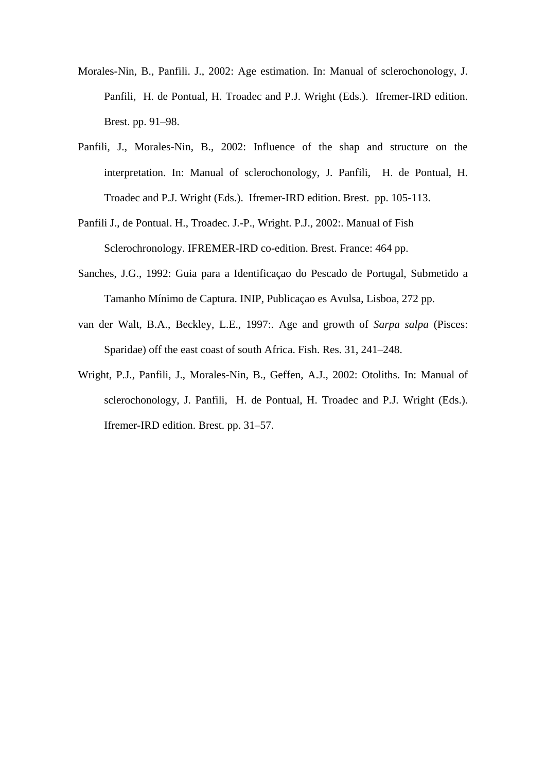- Morales-Nin, B., Panfili. J., 2002: Age estimation. In: Manual of sclerochonology, J. Panfili, H. de Pontual, H. Troadec and P.J. Wright (Eds.). Ifremer-IRD edition. Brest. pp. 91–98.
- Panfili, J., Morales-Nin, B., 2002: Influence of the shap and structure on the interpretation. In: Manual of sclerochonology, J. Panfili, H. de Pontual, H. Troadec and P.J. Wright (Eds.). Ifremer-IRD edition. Brest. pp. 105-113.
- Panfili J., de Pontual. H., Troadec. J.-P., Wright. P.J., 2002:. Manual of Fish Sclerochronology. IFREMER-IRD co-edition. Brest. France: 464 pp.
- Sanches, J.G., 1992: Guia para a Identificaçao do Pescado de Portugal, Submetido a Tamanho Mínimo de Captura. INIP, Publicaçao es Avulsa, Lisboa, 272 pp.
- van der Walt, B.A., Beckley, L.E., 1997:. Age and growth of *Sarpa salpa* (Pisces: Sparidae) off the east coast of south Africa. Fish. Res. 31, 241–248.
- Wright, P.J., Panfili, J., Morales-Nin, B., Geffen, A.J., 2002: Otoliths. In: Manual of sclerochonology, J. Panfili, H. de Pontual, H. Troadec and P.J. Wright (Eds.). Ifremer-IRD edition. Brest. pp. 31–57.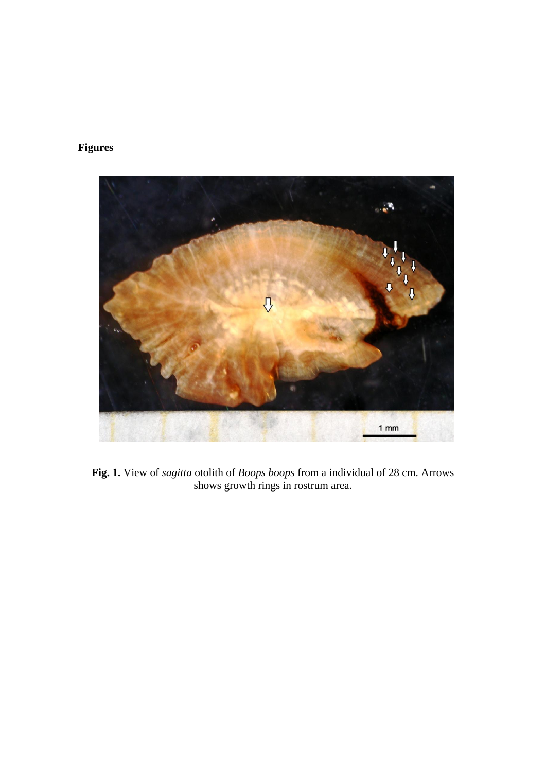## **Figures**



**Fig. 1.** View of *sagitta* otolith of *Boops boops* from a individual of 28 cm. Arrows shows growth rings in rostrum area.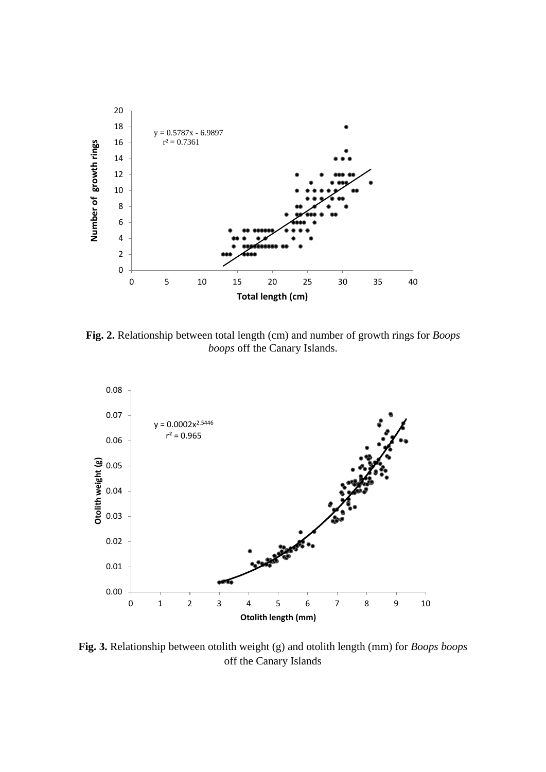

**Fig. 2.** Relationship between total length (cm) and number of growth rings for *Boops boops* off the Canary Islands.



**Fig. 3.** Relationship between otolith weight (g) and otolith length (mm) for *Boops boops* off the Canary Islands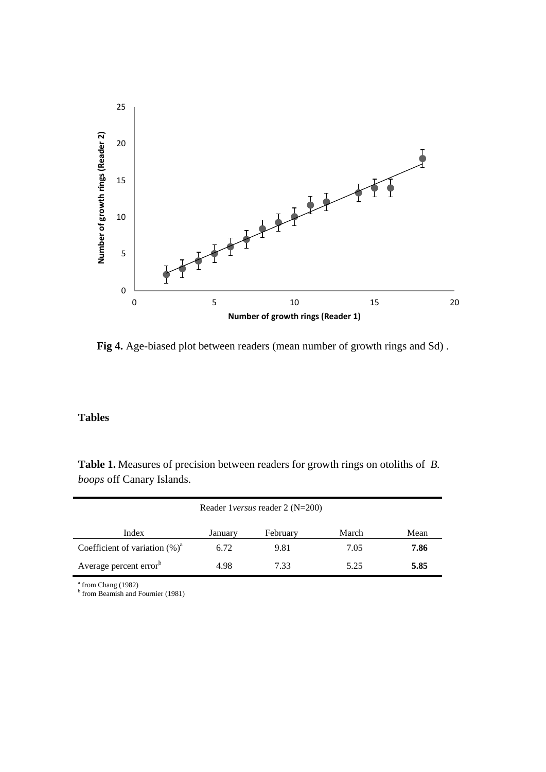

**Fig 4.** Age-biased plot between readers (mean number of growth rings and Sd) .

### **Tables**

**Table 1.** Measures of precision between readers for growth rings on otoliths of *B. boops* off Canary Islands.

| Reader 1 versus reader 2 (N=200)   |         |          |       |      |  |  |
|------------------------------------|---------|----------|-------|------|--|--|
| Index                              | January | February | March | Mean |  |  |
| Coefficient of variation $(\%)^a$  | 6.72    | 9.81     | 7.05  | 7.86 |  |  |
| Average percent error <sup>b</sup> | 4.98    | 7.33     | 5.25  | 5.85 |  |  |

<sup>a</sup> from Chang (1982)<br><sup>b</sup> from Beamish and Fournier (1981)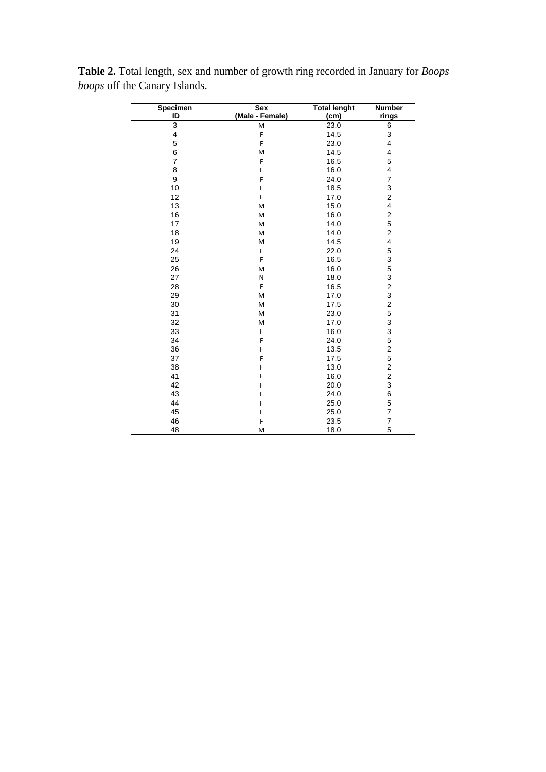| Specimen                | <b>Sex</b>      | <b>Total lenght</b> | <b>Number</b>             |
|-------------------------|-----------------|---------------------|---------------------------|
| ID                      | (Male - Female) | (cm)                | rings                     |
| $\overline{3}$          | M               | 23.0                | 6                         |
| $\overline{\mathbf{4}}$ | F               | 14.5                | $\ensuremath{\mathsf{3}}$ |
| 5                       | F               | 23.0                | $\overline{\mathbf{4}}$   |
| 6                       | M               | 14.5                | 4                         |
| $\overline{7}$          | F               | 16.5                | 5                         |
| 8                       | F               | 16.0                | $\overline{\mathbf{4}}$   |
| 9                       | F               | 24.0                | $\boldsymbol{7}$          |
| 10                      | F               | 18.5                | 3                         |
| 12                      | F               | 17.0                | $\overline{\mathbf{c}}$   |
| 13                      | M               | 15.0                | 4                         |
| 16                      | M               | 16.0                | $\boldsymbol{2}$          |
| 17                      | M               | 14.0                | 5                         |
| 18                      | M               | 14.0                | $\mathbf 2$               |
| 19                      | M               | 14.5                | 4                         |
| 24                      | F               | 22.0                | 5                         |
| 25                      | F               | 16.5                | 3                         |
| 26                      | M               | 16.0                | 5                         |
| 27                      | N               | 18.0                | 3                         |
| 28                      | F               | 16.5                | $\overline{c}$            |
| 29                      | M               | 17.0                | 3                         |
| 30                      | M               | 17.5                | $\overline{c}$            |
| 31                      | M               | 23.0                | 5                         |
| 32                      | M               | 17.0                | 3                         |
| 33                      | F               | 16.0                | 3                         |
| 34                      | F               | 24.0                | 5                         |
| 36                      | F               | 13.5                | $\overline{c}$            |
| 37                      | F               | 17.5                | 5                         |
| 38                      | F               | 13.0                | $\overline{c}$            |
| 41                      | F               | 16.0                | $\overline{c}$            |
| 42                      | F               | 20.0                | 3                         |
| 43                      | F               | 24.0                | 6                         |
| 44                      | F               | 25.0                | 5                         |
| 45                      | F               | 25.0                | $\overline{\mathcal{I}}$  |
| 46                      | F               | 23.5                | $\overline{7}$            |
| 48                      | M               | 18.0                | 5                         |

**Table 2.** Total length, sex and number of growth ring recorded in January for *Boops boops* off the Canary Islands.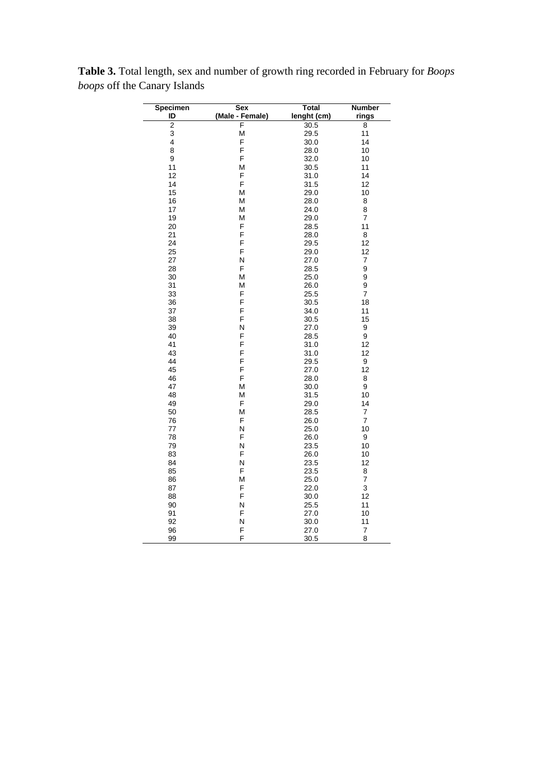| Specimen       | <b>Sex</b>      | <b>Total</b> | Number         |
|----------------|-----------------|--------------|----------------|
| ID             | (Male - Female) | lenght (cm)  | rings          |
| $\overline{2}$ | F               | 30.5         | 8              |
| 3              | М               | 29.5         | 11             |
| 4              | F               | 30.0         | 14             |
| 8              | F               | 28.0         | 10             |
| 9              | F               | 32.0         | 10             |
| 11             | M               | 30.5         | 11             |
| 12             | F               | 31.0         | 14             |
| 14             | F               | 31.5         | 12             |
| 15             | M               | 29.0         | 10             |
| 16             | M               | 28.0         | 8              |
| 17             | M               | 24.0         | 8              |
| 19             | M               | 29.0         | $\overline{7}$ |
| 20             | F               | 28.5         | 11             |
| 21             | F               | 28.0         | 8              |
| 24             | F               | 29.5         | 12             |
| 25             | F               | 29.0         | 12             |
| 27             | N               | 27.0         | 7              |
| 28             | F               | 28.5         | 9              |
| 30             | M               | 25.0         | 9              |
| 31             | M               | 26.0         | 9              |
| 33             | F               | 25.5         | $\overline{7}$ |
| 36             | F               | 30.5         | 18             |
| 37             | F               | 34.0         | 11             |
| 38             | F               | 30.5         | 15             |
| 39             | N               | 27.0         | 9              |
| 40             | F               | 28.5         | 9              |
| 41             | F               | 31.0         | 12             |
| 43             | F               | 31.0         | 12             |
| 44             | F               | 29.5         | 9              |
| 45             | F               | 27.0         | 12             |
| 46             | F               | 28.0         | 8              |
| 47             | М               | 30.0         | 9              |
| 48             | M               | 31.5         | 10             |
| 49             | F               | 29.0         | 14             |
| 50             | M               | 28.5         | 7              |
| 76             | F               | 26.0         | $\overline{7}$ |
| 77             | N               | 25.0         | 10             |
| 78             | F               | 26.0         | 9              |
| 79             | N               | 23.5         | 10             |
| 83             | F               | 26.0         | 10             |
| 84             | N               | 23.5         | 12             |
| 85             | F               | 23.5         | 8              |
| 86             | M               | 25.0         | 7              |
| 87             | F               | 22.0         | 3              |
| 88             | F               | 30.0         | 12             |
| 90             | N               | 25.5         | 11             |
| 91             | F               | 27.0         | 10             |
| 92             | N               | 30.0         | 11             |
| 96             | F               | 27.0         | 7              |
| 99             | F               | 30.5         | 8              |

**Table 3.** Total length, sex and number of growth ring recorded in February for *Boops boops* off the Canary Islands